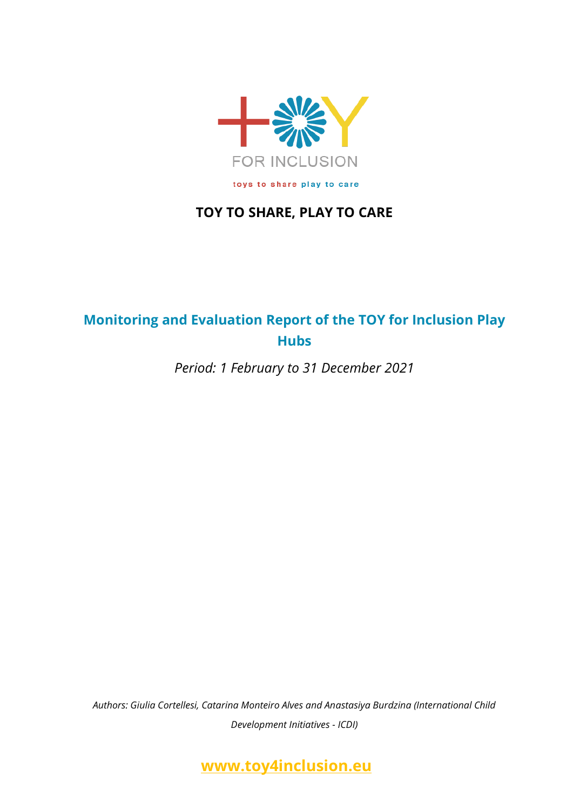

## **TOY TO SHARE, PLAY TO CARE**

# **Monitoring and Evaluation Report of the TOY for Inclusion Play Hubs**

*Period: 1 February to 31 December 2021*

*Authors: Giulia Cortellesi, Catarina Monteiro Alves and Anastasiya Burdzina (International Child Development Initiatives - ICDI)*

**[www.toy4inclusion.eu](http://www.toy4inclusion.eu/)**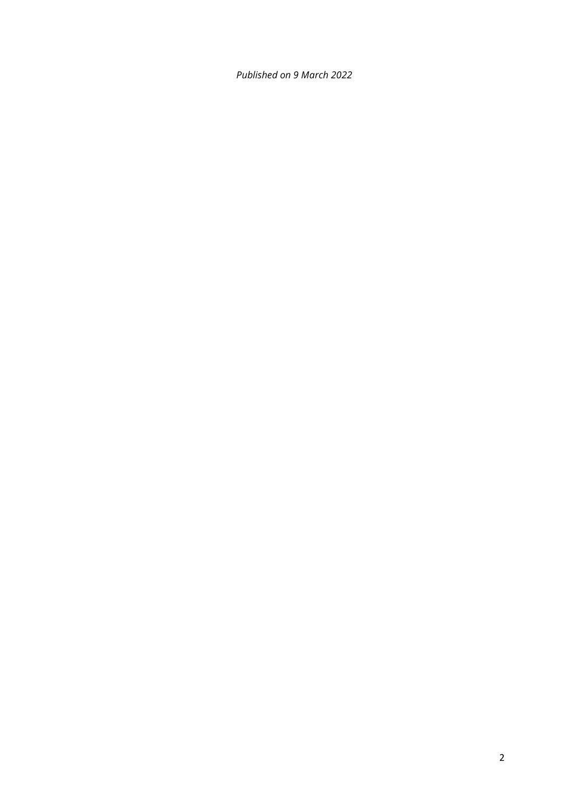*Published on 9 March 2022*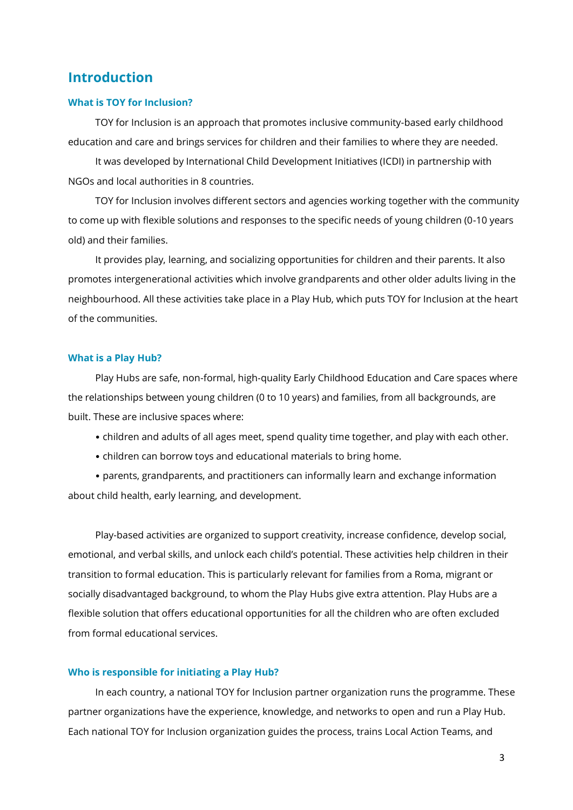### **Introduction**

#### **What is TOY for Inclusion?**

TOY for Inclusion is an approach that promotes inclusive community-based early childhood education and care and brings services for children and their families to where they are needed.

It was developed by International Child Development Initiatives (ICDI) in partnership with NGOs and local authorities in 8 countries.

TOY for Inclusion involves different sectors and agencies working together with the community to come up with flexible solutions and responses to the specific needs of young children (0-10 years old) and their families.

It provides play, learning, and socializing opportunities for children and their parents. It also promotes intergenerational activities which involve grandparents and other older adults living in the neighbourhood. All these activities take place in a Play Hub, which puts TOY for Inclusion at the heart of the communities.

#### **What is a Play Hub?**

Play Hubs are safe, non-formal, high‑quality Early Childhood Education and Care spaces where the relationships between young children (0 to 10 years) and families, from all backgrounds, are built. These are inclusive spaces where:

- children and adults of all ages meet, spend quality time together, and play with each other.
- children can borrow toys and educational materials to bring home.

• parents, grandparents, and practitioners can informally learn and exchange information about child health, early learning, and development.

Play-based activities are organized to support creativity, increase confidence, develop social, emotional, and verbal skills, and unlock each child's potential. These activities help children in their transition to formal education. This is particularly relevant for families from a Roma, migrant or socially disadvantaged background, to whom the Play Hubs give extra attention. Play Hubs are a flexible solution that offers educational opportunities for all the children who are often excluded from formal educational services.

#### **Who is responsible for initiating a Play Hub?**

In each country, a national TOY for Inclusion partner organization runs the programme. These partner organizations have the experience, knowledge, and networks to open and run a Play Hub. Each national TOY for Inclusion organization guides the process, trains Local Action Teams, and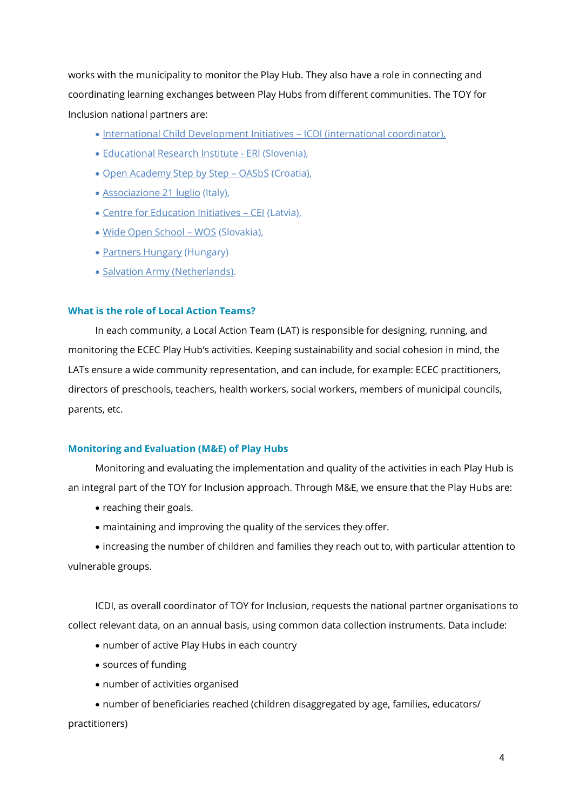works with the municipality to monitor the Play Hub. They also have a role in connecting and coordinating learning exchanges between Play Hubs from different communities. The TOY for Inclusion national partners are:

- [International Child Development Initiatives](http://www.icdi.nl/)  ICDI (international coordinator),
- [Educational Research Institute -](http://www.pei.si/pei_english.aspx) ERI (Slovenia),
- [Open Academy Step by Step](http://www.korakpokorak.hr/)  OASbS (Croatia),
- **[Associazione 21 luglio](http://www.21luglio.org/21luglio/)** (Italy),
- [Centre for Education Initiatives](http://www.iic.lv/english/about-cei/)  CEI (Latvia),
- [Wide Open School](http://www.skoladokoran.sk/en/)  WOS (Slovakia),
- [Partners Hungary](http://www.partnershungary.hu/en/) (Hungary)
- [Salvation Army \(Netherlands\)](https://www.legerdesheils.nl/).

#### **What is the role of Local Action Teams?**

In each community, a Local Action Team (LAT) is responsible for designing, running, and monitoring the ECEC Play Hub's activities. Keeping sustainability and social cohesion in mind, the LATs ensure a wide community representation, and can include, for example: ECEC practitioners, directors of preschools, teachers, health workers, social workers, members of municipal councils, parents, etc.

#### **Monitoring and Evaluation (M&E) of Play Hubs**

Monitoring and evaluating the implementation and quality of the activities in each Play Hub is an integral part of the TOY for Inclusion approach. Through M&E, we ensure that the Play Hubs are:

- reaching their goals.
- maintaining and improving the quality of the services they offer.

• increasing the number of children and families they reach out to, with particular attention to vulnerable groups.

ICDI, as overall coordinator of TOY for Inclusion, requests the national partner organisations to collect relevant data, on an annual basis, using common data collection instruments. Data include:

- number of active Play Hubs in each country
- sources of funding
- number of activities organised
- number of beneficiaries reached (children disaggregated by age, families, educators/

practitioners)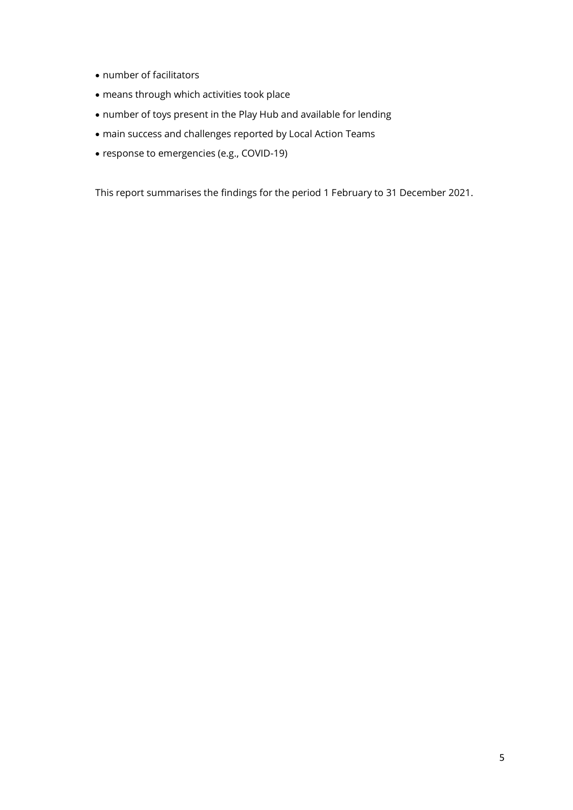- number of facilitators
- means through which activities took place
- number of toys present in the Play Hub and available for lending
- main success and challenges reported by Local Action Teams
- response to emergencies (e.g., COVID-19)

This report summarises the findings for the period 1 February to 31 December 2021.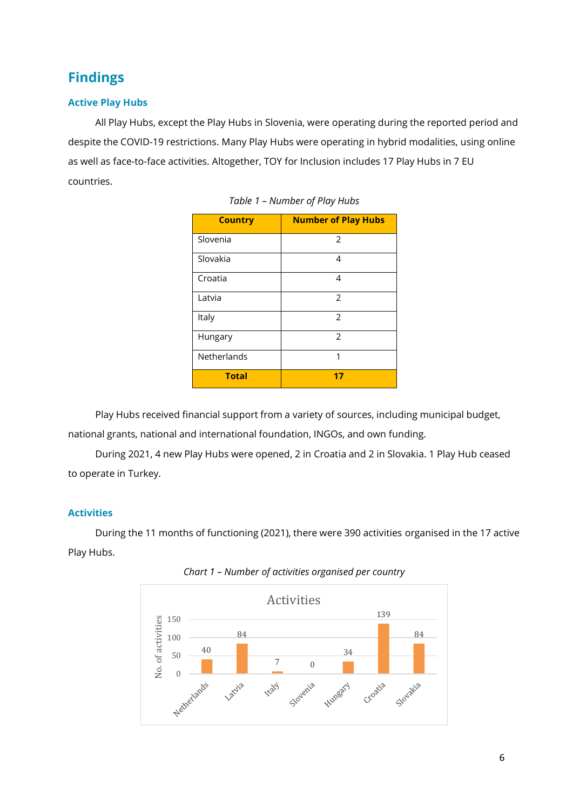# **Findings**

### **Active Play Hubs**

All Play Hubs, except the Play Hubs in Slovenia, were operating during the reported period and despite the COVID-19 restrictions. Many Play Hubs were operating in hybrid modalities, using online as well as face-to-face activities. Altogether, TOY for Inclusion includes 17 Play Hubs in 7 EU countries.

| <b>Country</b> | <b>Number of Play Hubs</b> |
|----------------|----------------------------|
| Slovenia       | $\overline{2}$             |
| Slovakia       | 4                          |
| Croatia        | 4                          |
| Latvia         | 2                          |
| Italy          | 2                          |
| Hungary        | 2                          |
| Netherlands    | 1                          |
| <b>Total</b>   | 17                         |

|  |  | Table 1 - Number of Play Hubs |  |  |  |
|--|--|-------------------------------|--|--|--|
|--|--|-------------------------------|--|--|--|

Play Hubs received financial support from a variety of sources, including municipal budget, national grants, national and international foundation, INGOs, and own funding.

During 2021, 4 new Play Hubs were opened, 2 in Croatia and 2 in Slovakia. 1 Play Hub ceased to operate in Turkey.

### **Activities**

During the 11 months of functioning (2021), there were 390 activities organised in the 17 active Play Hubs.



*Chart 1 – Number of activities organised per country*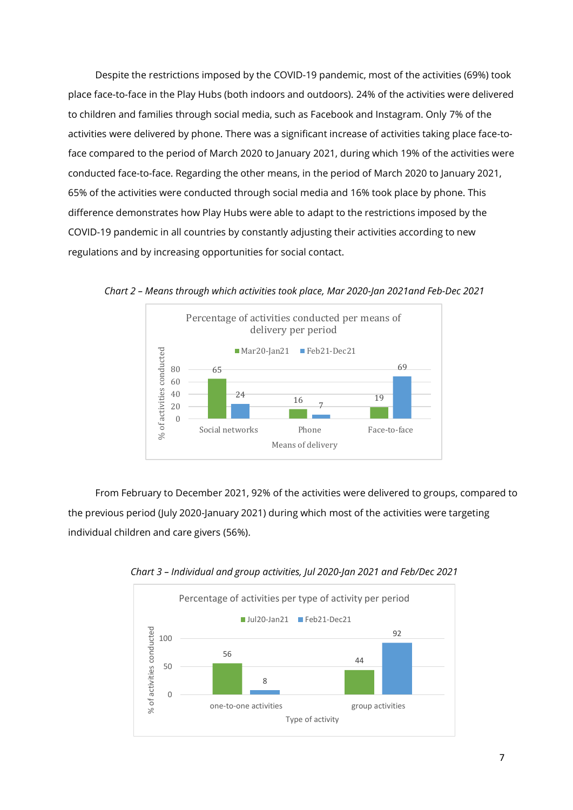Despite the restrictions imposed by the COVID-19 pandemic, most of the activities (69%) took place face-to-face in the Play Hubs (both indoors and outdoors). 24% of the activities were delivered to children and families through social media, such as Facebook and Instagram. Only 7% of the activities were delivered by phone. There was a significant increase of activities taking place face-toface compared to the period of March 2020 to January 2021, during which 19% of the activities were conducted face-to-face. Regarding the other means, in the period of March 2020 to January 2021, 65% of the activities were conducted through social media and 16% took place by phone. This difference demonstrates how Play Hubs were able to adapt to the restrictions imposed by the COVID-19 pandemic in all countries by constantly adjusting their activities according to new regulations and by increasing opportunities for social contact.



*Chart 2 – Means through which activities took place, Mar 2020-Jan 2021and Feb-Dec 2021*

From February to December 2021, 92% of the activities were delivered to groups, compared to the previous period (July 2020-January 2021) during which most of the activities were targeting individual children and care givers (56%).



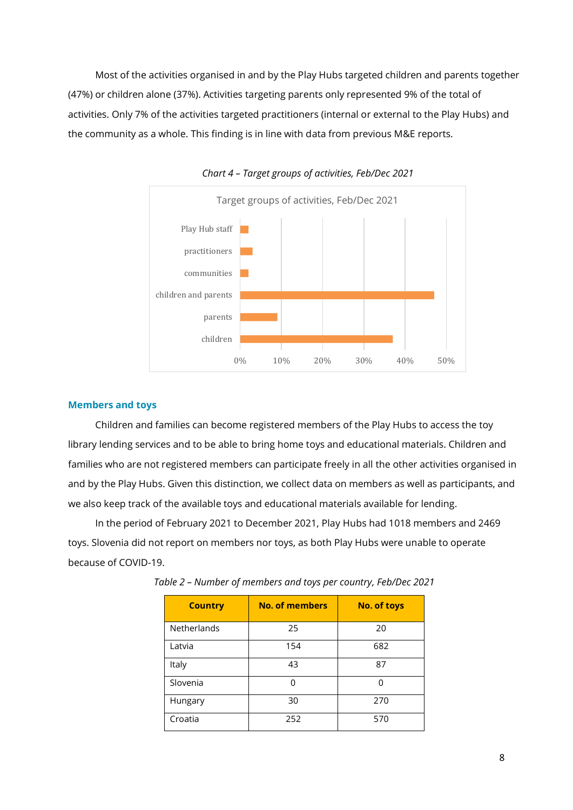Most of the activities organised in and by the Play Hubs targeted children and parents together (47%) or children alone (37%). Activities targeting parents only represented 9% of the total of activities. Only 7% of the activities targeted practitioners (internal or external to the Play Hubs) and the community as a whole. This finding is in line with data from previous M&E reports.



*Chart 4 – Target groups of activities, Feb/Dec 2021*

#### **Members and toys**

Children and families can become registered members of the Play Hubs to access the toy library lending services and to be able to bring home toys and educational materials. Children and families who are not registered members can participate freely in all the other activities organised in and by the Play Hubs. Given this distinction, we collect data on members as well as participants, and we also keep track of the available toys and educational materials available for lending.

In the period of February 2021 to December 2021, Play Hubs had 1018 members and 2469 toys. Slovenia did not report on members nor toys, as both Play Hubs were unable to operate because of COVID-19.

| <b>Country</b> | <b>No. of members</b> | <b>No. of toys</b> |
|----------------|-----------------------|--------------------|
| Netherlands    | 25                    | 20                 |
| Latvia         | 154                   | 682                |
| Italy          | 43                    | 87                 |
| Slovenia       | ∩                     | U                  |
| Hungary        | 30                    | 270                |
| Croatia        | 252                   | 570                |

*Table 2 – Number of members and toys per country, Feb/Dec 2021*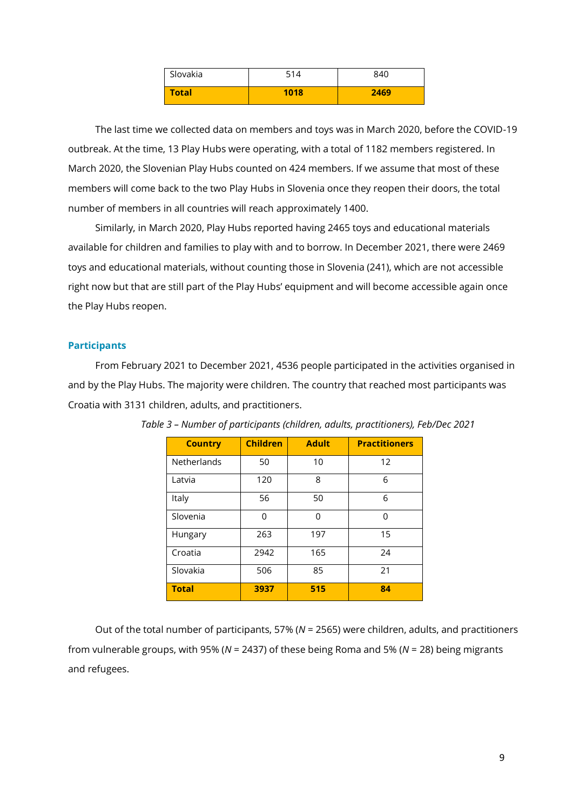| Slovakia     | 514  | 840  |
|--------------|------|------|
| <b>Total</b> | 1018 | 2469 |

The last time we collected data on members and toys was in March 2020, before the COVID-19 outbreak. At the time, 13 Play Hubs were operating, with a total of 1182 members registered. In March 2020, the Slovenian Play Hubs counted on 424 members. If we assume that most of these members will come back to the two Play Hubs in Slovenia once they reopen their doors, the total number of members in all countries will reach approximately 1400.

Similarly, in March 2020, Play Hubs reported having 2465 toys and educational materials available for children and families to play with and to borrow. In December 2021, there were 2469 toys and educational materials, without counting those in Slovenia (241), which are not accessible right now but that are still part of the Play Hubs' equipment and will become accessible again once the Play Hubs reopen.

#### **Participants**

From February 2021 to December 2021, 4536 people participated in the activities organised in and by the Play Hubs. The majority were children. The country that reached most participants was Croatia with 3131 children, adults, and practitioners.

| <b>Country</b>     | <b>Children</b> | <b>Adult</b> | <b>Practitioners</b> |
|--------------------|-----------------|--------------|----------------------|
| <b>Netherlands</b> | 50              | 10           | 12                   |
| Latvia             | 120             | 8            | 6                    |
| Italy              | 56              | 50           | 6                    |
| Slovenia           | 0               | U            | 0                    |
| Hungary            | 263             | 197          | 15                   |
| Croatia            | 2942            | 165          | 24                   |
| Slovakia           | 506             | 85           | 21                   |
| <b>Total</b>       | 3937            | 515          | 84                   |

*Table 3 – Number of participants (children, adults, practitioners), Feb/Dec 2021*

Out of the total number of participants, 57% (*N* = 2565) were children, adults, and practitioners from vulnerable groups, with 95% (*N* = 2437) of these being Roma and 5% (*N* = 28) being migrants and refugees.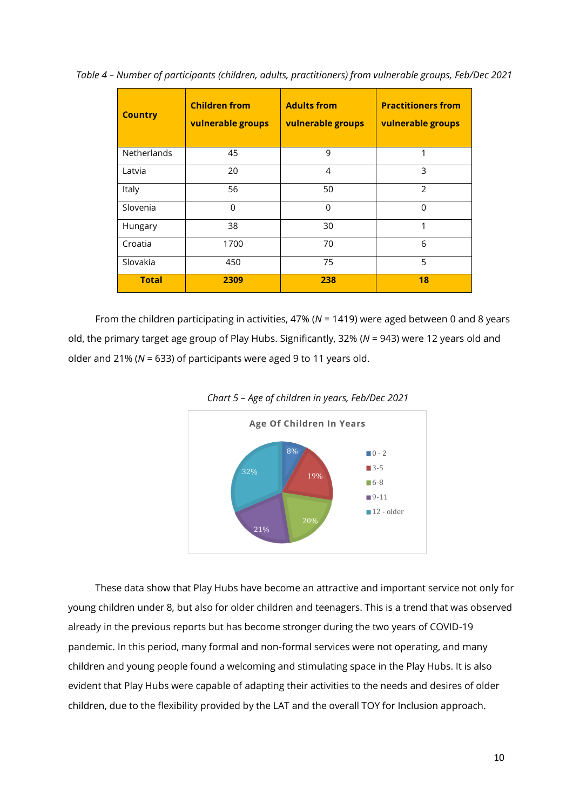| <b>Country</b>     | <b>Children from</b><br>vulnerable groups | <b>Adults from</b><br>vulnerable groups | <b>Practitioners from</b><br>vulnerable groups |
|--------------------|-------------------------------------------|-----------------------------------------|------------------------------------------------|
| <b>Netherlands</b> | 45                                        | 9                                       | 1                                              |
| Latvia             | 20                                        | 4                                       | 3                                              |
| Italy              | 56                                        | 50                                      | $\mathcal{P}$                                  |
| Slovenia           | 0                                         | $\Omega$                                | $\Omega$                                       |
| Hungary            | 38                                        | 30                                      | 1                                              |
| Croatia            | 1700                                      | 70                                      | 6                                              |
| Slovakia           | 450                                       | 75                                      | 5                                              |
| <b>Total</b>       | 2309                                      | 238                                     | 18                                             |

*Table 4 – Number of participants (children, adults, practitioners) from vulnerable groups, Feb/Dec 2021*

From the children participating in activities, 47% (*N* = 1419) were aged between 0 and 8 years old, the primary target age group of Play Hubs. Significantly, 32% (*N* = 943) were 12 years old and older and 21% (*N* = 633) of participants were aged 9 to 11 years old.





These data show that Play Hubs have become an attractive and important service not only for young children under 8, but also for older children and teenagers. This is a trend that was observed already in the previous reports but has become stronger during the two years of COVID-19 pandemic. In this period, many formal and non-formal services were not operating, and many children and young people found a welcoming and stimulating space in the Play Hubs. It is also evident that Play Hubs were capable of adapting their activities to the needs and desires of older children, due to the flexibility provided by the LAT and the overall TOY for Inclusion approach.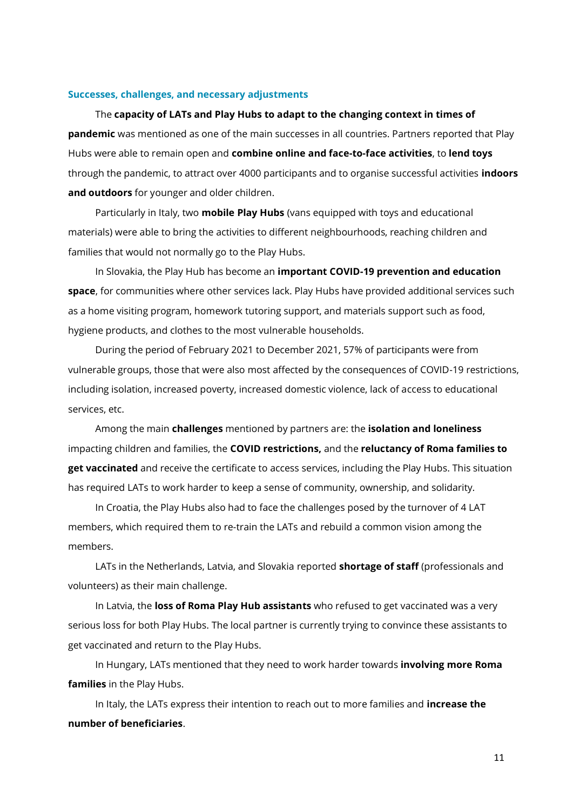#### **Successes, challenges, and necessary adjustments**

The **capacity of LATs and Play Hubs to adapt to the changing context in times of pandemic** was mentioned as one of the main successes in all countries. Partners reported that Play Hubs were able to remain open and **combine online and face-to-face activities**, to **lend toys** through the pandemic, to attract over 4000 participants and to organise successful activities **indoors and outdoors** for younger and older children.

Particularly in Italy, two **mobile Play Hubs** (vans equipped with toys and educational materials) were able to bring the activities to different neighbourhoods, reaching children and families that would not normally go to the Play Hubs.

In Slovakia, the Play Hub has become an **important COVID-19 prevention and education space**, for communities where other services lack. Play Hubs have provided additional services such as a home visiting program, homework tutoring support, and materials support such as food, hygiene products, and clothes to the most vulnerable households.

During the period of February 2021 to December 2021, 57% of participants were from vulnerable groups, those that were also most affected by the consequences of COVID-19 restrictions, including isolation, increased poverty, increased domestic violence, lack of access to educational services, etc.

Among the main **challenges** mentioned by partners are: the **isolation and loneliness** impacting children and families, the **COVID restrictions,** and the **reluctancy of Roma families to get vaccinated** and receive the certificate to access services, including the Play Hubs. This situation has required LATs to work harder to keep a sense of community, ownership, and solidarity.

In Croatia, the Play Hubs also had to face the challenges posed by the turnover of 4 LAT members, which required them to re-train the LATs and rebuild a common vision among the members.

LATs in the Netherlands, Latvia, and Slovakia reported **shortage of staff** (professionals and volunteers) as their main challenge.

In Latvia, the **loss of Roma Play Hub assistants** who refused to get vaccinated was a very serious loss for both Play Hubs. The local partner is currently trying to convince these assistants to get vaccinated and return to the Play Hubs.

In Hungary, LATs mentioned that they need to work harder towards **involving more Roma families** in the Play Hubs.

In Italy, the LATs express their intention to reach out to more families and **increase the number of beneficiaries**.